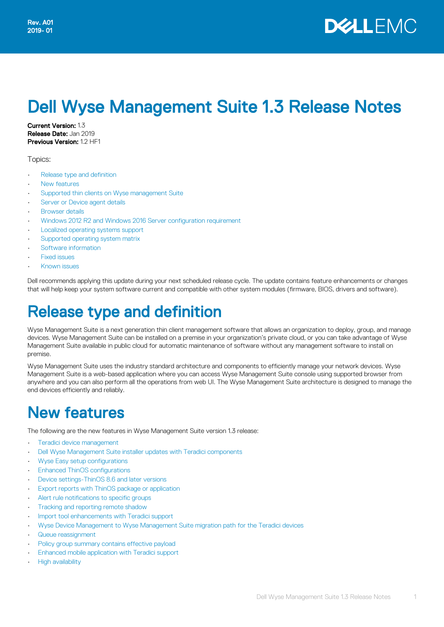# Dell Wyse Management Suite 1.3 Release Notes

Current Version: 1.3 Release Date: Jan 2019 Previous Version: 1.2 HF1

Topics:

- Release type and definition
- New features
- [Supported thin clients on Wyse management Suite](#page-3-0)
- [Server or Device agent details](#page-5-0)
- **[Browser details](#page-5-0)**
- [Windows 2012 R2 and Windows 2016 Server configuration requirement](#page-6-0)
- [Localized operating systems support](#page-6-0)
- [Supported operating system matrix](#page-7-0)
- [Software information](#page-7-0)
- [Fixed issues](#page-7-0)
- [Known issues](#page-8-0)

Dell recommends applying this update during your next scheduled release cycle. The update contains feature enhancements or changes that will help keep your system software current and compatible with other system modules (firmware, BIOS, drivers and software).

# Release type and definition

Wyse Management Suite is a next generation thin client management software that allows an organization to deploy, group, and manage devices. Wyse Management Suite can be installed on a premise in your organization's private cloud, or you can take advantage of Wyse Management Suite available in public cloud for automatic maintenance of software without any management software to install on premise.

Wyse Management Suite uses the industry standard architecture and components to efficiently manage your network devices. Wyse Management Suite is a web-based application where you can access Wyse Management Suite console using supported browser from anywhere and you can also perform all the operations from web UI. The Wyse Management Suite architecture is designed to manage the end devices efficiently and reliably.

## New features

The following are the new features in Wyse Management Suite version 1.3 release:

- [Teradici device management](#page-1-0)
- [Dell Wyse Management Suite installer updates with Teradici components](#page-1-0)
- [Wyse Easy setup configurations](#page-1-0)
- [Enhanced ThinOS configurations](#page-1-0)
- [Device settings-ThinOS 8.6 and later versions](#page-2-0)
- [Export reports with ThinOS package or application](#page-2-0)
- [Alert rule notifications to specific groups](#page-2-0)
- [Tracking and reporting remote shadow](#page-2-0)
- [Import tool enhancements with Teradici support](#page-2-0)
- [Wyse Device Management to Wyse Management Suite migration path for the Teradici devices](#page-3-0)
- [Queue reassignment](#page-3-0)
- [Policy group summary contains effective payload](#page-3-0)
- [Enhanced mobile application with Teradici support](#page-3-0)
- [High availability](#page-3-0)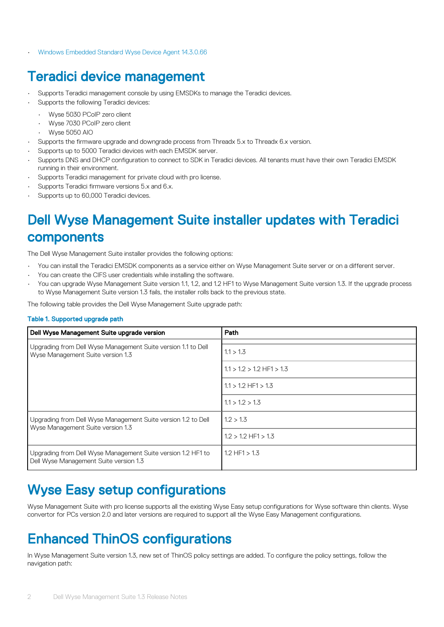<span id="page-1-0"></span>• [Windows Embedded Standard Wyse Device Agent 14.3.0.66](#page-3-0)

### Teradici device management

- Supports Teradici management console by using EMSDKs to manage the Teradici devices.
	- Supports the following Teradici devices:
	- Wyse 5030 PCoIP zero client
	- Wyse 7030 PCoIP zero client
	- Wyse 5050 AIO
- Supports the firmware upgrade and downgrade process from Threadx 5.x to Threadx 6.x version.
- Supports up to 5000 Teradici devices with each EMSDK server.
- Supports DNS and DHCP configuration to connect to SDK in Teradici devices. All tenants must have their own Teradici EMSDK running in their environment.
- Supports Teradici management for private cloud with pro license.
- Supports Teradici firmware versions 5.x and 6.x.
- Supports up to 60,000 Teradici devices.

## Dell Wyse Management Suite installer updates with Teradici components

The Dell Wyse Management Suite installer provides the following options:

- You can install the Teradici EMSDK components as a service either on Wyse Management Suite server or on a different server.
- You can create the CIFS user credentials while installing the software.
- You can upgrade Wyse Management Suite version 1.1, 1.2, and 1.2 HF1 to Wyse Management Suite version 1.3. If the upgrade process to Wyse Management Suite version 1.3 fails, the installer rolls back to the previous state.

The following table provides the Dell Wyse Management Suite upgrade path:

#### Table 1. Supported upgrade path

| Dell Wyse Management Suite upgrade version                                                             | Path                          |
|--------------------------------------------------------------------------------------------------------|-------------------------------|
| Upgrading from Dell Wyse Management Suite version 1.1 to Dell<br>Wyse Management Suite version 1.3     | 1.1 > 1.3                     |
|                                                                                                        | $1.1 > 1.2 > 1.2$ HF1 $> 1.3$ |
|                                                                                                        | $1.1 > 1.2$ HF1 $> 1.3$       |
|                                                                                                        | 1.1 > 1.2 > 1.3               |
| Upgrading from Dell Wyse Management Suite version 1.2 to Dell<br>Wyse Management Suite version 1.3     | 1.2 > 1.3                     |
|                                                                                                        | $1.2 > 1.2$ HF1 $> 1.3$       |
| Upgrading from Dell Wyse Management Suite version 1.2 HF1 to<br>Dell Wyse Management Suite version 1.3 | $1.2$ HF1 $> 1.3$             |

### Wyse Easy setup configurations

Wyse Management Suite with pro license supports all the existing Wyse Easy setup configurations for Wyse software thin clients. Wyse convertor for PCs version 2.0 and later versions are required to support all the Wyse Easy Management configurations.

## Enhanced ThinOS configurations

In Wyse Management Suite version 1.3, new set of ThinOS policy settings are added. To configure the policy settings, follow the navigation path: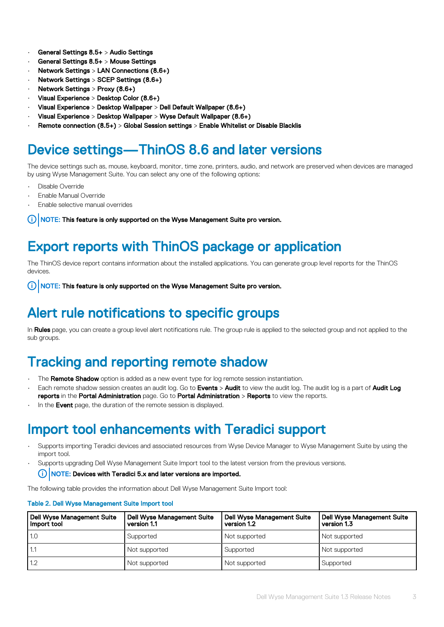- <span id="page-2-0"></span>• General Settings 8.5+ > Audio Settings
- General Settings 8.5+ > Mouse Settings
- Network Settings > LAN Connections (8.6+)
- Network Settings > SCEP Settings (8.6+)
- Network Settings > Proxy (8.6+)
- Visual Experience > Desktop Color (8.6+)
- Visual Experience > Desktop Wallpaper > Dell Default Wallpaper (8.6+)
- Visual Experience > Desktop Wallpaper > Wyse Default Wallpaper (8.6+)
- Remote connection (8.5+) > Global Session settings > Enable Whitelist or Disable Blacklis

### Device settings—ThinOS 8.6 and later versions

The device settings such as, mouse, keyboard, monitor, time zone, printers, audio, and network are preserved when devices are managed by using Wyse Management Suite. You can select any one of the following options:

- Disable Override
- **Enable Manual Override**
- Enable selective manual overrides

NOTE: This feature is only supported on the Wyse Management Suite pro version. G)

### Export reports with ThinOS package or application

The ThinOS device report contains information about the installed applications. You can generate group level reports for the ThinOS devices.

 $(i)$ NOTE: This feature is only supported on the Wyse Management Suite pro version.

### Alert rule notifications to specific groups

In Rules page, you can create a group level alert notifications rule. The group rule is applied to the selected group and not applied to the sub groups.

### Tracking and reporting remote shadow

- The **Remote Shadow** option is added as a new event type for log remote session instantiation.
- Each remote shadow session creates an audit log. Go to **Events > Audit** to view the audit log. The audit log is a part of **Audit Log** reports in the Portal Administration page. Go to Portal Administration > Reports to view the reports.
- In the **Event** page, the duration of the remote session is displayed.

### Import tool enhancements with Teradici support

- Supports importing Teradici devices and associated resources from Wyse Device Manager to Wyse Management Suite by using the import tool.
- Supports upgrading Dell Wyse Management Suite Import tool to the latest version from the previous versions.
	- NOTE: Devices with Teradici 5.x and later versions are imported.  $(i)$

The following table provides the information about Dell Wyse Management Suite Import tool:

#### Table 2. Dell Wyse Management Suite Import tool

| <b>Dell Wyse Management Suite</b><br>Import tool | <b>Dell Wyse Management Suite</b><br>version 1.1 | <b>Dell Wyse Management Suite</b><br>version 1.2 | <b>Dell Wyse Management Suite</b><br>version 1.3 |
|--------------------------------------------------|--------------------------------------------------|--------------------------------------------------|--------------------------------------------------|
| 1.0                                              | Supported                                        | Not supported                                    | Not supported                                    |
| 1.1                                              | Not supported                                    | Supported                                        | Not supported                                    |
| 1.2                                              | Not supported                                    | Not supported                                    | Supported                                        |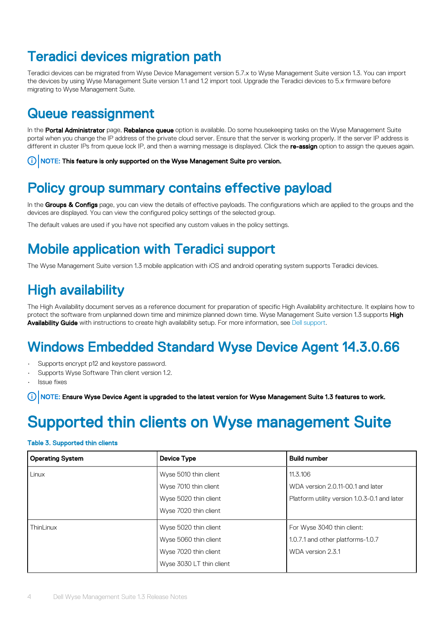### <span id="page-3-0"></span>Teradici devices migration path

Teradici devices can be migrated from Wyse Device Management version 5.7.x to Wyse Management Suite version 1.3. You can import the devices by using Wyse Management Suite version 1.1 and 1.2 import tool. Upgrade the Teradici devices to 5.x firmware before migrating to Wyse Management Suite.

### Queue reassignment

In the Portal Administrator page, Rebalance queue option is available. Do some housekeeping tasks on the Wyse Management Suite portal when you change the IP address of the private cloud server. Ensure that the server is working properly. If the server IP address is different in cluster IPs from queue lock IP, and then a warning message is displayed. Click the re-assign option to assign the queues again.

NOTE: This feature is only supported on the Wyse Management Suite pro version.

### Policy group summary contains effective payload

In the Groups & Configs page, you can view the details of effective payloads. The configurations which are applied to the groups and the devices are displayed. You can view the configured policy settings of the selected group.

The default values are used if you have not specified any custom values in the policy settings.

## Mobile application with Teradici support

The Wyse Management Suite version 1.3 mobile application with iOS and android operating system supports Teradici devices.

## High availability

The High Availability document serves as a reference document for preparation of specific High Availability architecture. It explains how to protect the software from unplanned down time and minimize planned down time. Wyse Management Suite version 1.3 supports High Availability Guide with instructions to create high availability setup. For more information, see [Dell support.](https://www.dell.com/support/home/bo/en/bodhs1?c=bo&l=en&s=dhs)

### Windows Embedded Standard Wyse Device Agent 14.3.0.66

- Supports encrypt p12 and keystore password.
- Supports Wyse Software Thin client version 1.2.
- Issue fixes

NOTE: Ensure Wyse Device Agent is upgraded to the latest version for Wyse Management Suite 1.3 features to work.

# Supported thin clients on Wyse management Suite

#### Table 3. Supported thin clients

| <b>Operating System</b> | Device Type              | <b>Build number</b>                          |
|-------------------------|--------------------------|----------------------------------------------|
| Linux                   | Wyse 5010 thin client    | 11.3.106                                     |
|                         | Wyse 7010 thin client    | WDA version 2.0.11-00.1 and later            |
|                         | Wyse 5020 thin client    | Platform utility version 1.0.3-0.1 and later |
|                         | Wyse 7020 thin client    |                                              |
| ThinLinux               | Wyse 5020 thin client    | For Wyse 3040 thin client:                   |
|                         | Wyse 5060 thin client    | 1.0.7.1 and other platforms-1.0.7            |
|                         | Wyse 7020 thin client    | WDA version 2.3.1                            |
|                         | Wyse 3030 LT thin client |                                              |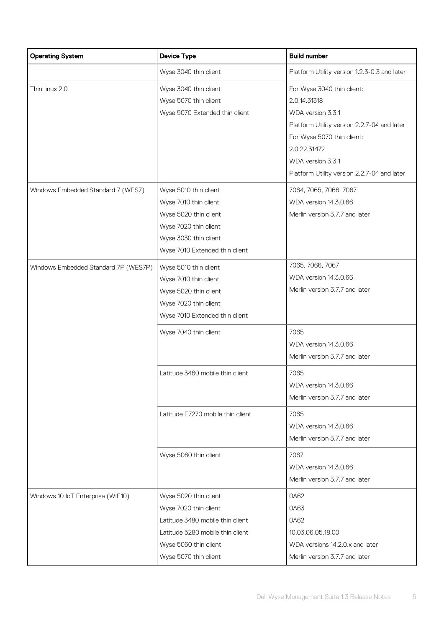| <b>Operating System</b>                             | <b>Device Type</b>                                                                                                                                                       | <b>Build number</b>                                                                                                                                                                                                                                        |
|-----------------------------------------------------|--------------------------------------------------------------------------------------------------------------------------------------------------------------------------|------------------------------------------------------------------------------------------------------------------------------------------------------------------------------------------------------------------------------------------------------------|
|                                                     | Wyse 3040 thin client                                                                                                                                                    | Platform Utility version 1.2.3-0.3 and later                                                                                                                                                                                                               |
| ThinLinux 2.0<br>Windows Embedded Standard 7 (WES7) | Wyse 3040 thin client<br>Wyse 5070 thin client<br>Wyse 5070 Extended thin client<br>Wyse 5010 thin client                                                                | For Wyse 3040 thin client:<br>2.0.14.31318<br>WDA version 3.3.1<br>Platform Utility version 2.2.7-04 and later<br>For Wyse 5070 thin client:<br>2.0.22.31472<br>WDA version 3.3.1<br>Platform Utility version 2.2.7-04 and later<br>7064, 7065, 7066, 7067 |
|                                                     | Wyse 7010 thin client<br>Wyse 5020 thin client<br>Wyse 7020 thin client<br>Wyse 3030 thin client<br>Wyse 7010 Extended thin client                                       | WDA version 14.3.0.66<br>Merlin version 3.7.7 and later                                                                                                                                                                                                    |
| Windows Embedded Standard 7P (WES7P)                | Wyse 5010 thin client<br>Wyse 7010 thin client<br>Wyse 5020 thin client<br>Wyse 7020 thin client<br>Wyse 7010 Extended thin client                                       | 7065, 7066, 7067<br>WDA version 14.3.0.66<br>Merlin version 3.7.7 and later                                                                                                                                                                                |
|                                                     | Wyse 7040 thin client                                                                                                                                                    | 7065<br>WDA version 14.3.0.66<br>Merlin version 3.7.7 and later                                                                                                                                                                                            |
|                                                     | Latitude 3460 mobile thin client                                                                                                                                         | 7065<br>WDA version 14.3.0.66<br>Merlin version 3.7.7 and later                                                                                                                                                                                            |
|                                                     | Latitude E7270 mobile thin client                                                                                                                                        | 7065<br>WDA version 14.3.0.66<br>Merlin version 3.7.7 and later                                                                                                                                                                                            |
|                                                     | Wyse 5060 thin client                                                                                                                                                    | 7067<br>WDA version 14.3.0.66<br>Merlin version 3.7.7 and later                                                                                                                                                                                            |
| Windows 10 IoT Enterprise (WIE10)                   | Wyse 5020 thin client<br>Wyse 7020 thin client<br>Latitude 3480 mobile thin client<br>Latitude 5280 mobile thin client<br>Wyse 5060 thin client<br>Wyse 5070 thin client | 0A62<br>0A63<br>0A62<br>10.03.06.05.18.00<br>WDA versions 14.2.0.x and later<br>Merlin version 3.7.7 and later                                                                                                                                             |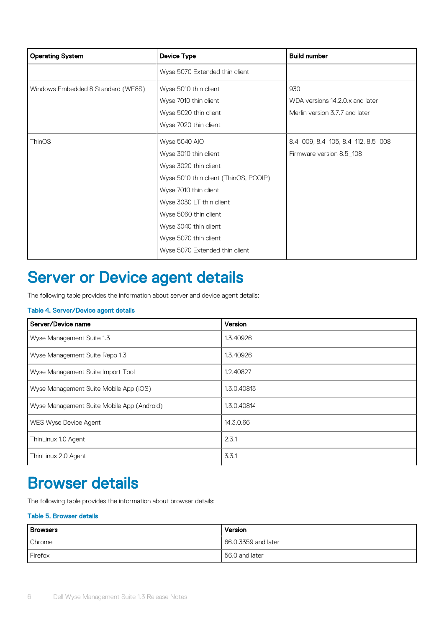<span id="page-5-0"></span>

| <b>Operating System</b>            | <b>Device Type</b>                    | <b>Build number</b>                |
|------------------------------------|---------------------------------------|------------------------------------|
|                                    | Wyse 5070 Extended thin client        |                                    |
| Windows Embedded 8 Standard (WE8S) | Wyse 5010 thin client                 | 930                                |
|                                    | Wyse 7010 thin client                 | WDA versions 14.2.0.x and later    |
|                                    | Wyse 5020 thin client                 | Merlin version 3.7.7 and later     |
|                                    | Wyse 7020 thin client                 |                                    |
| ThinOS                             | Wyse 5040 AIO                         | 8.4_009, 8.4_105, 8.4_112, 8.5_008 |
|                                    | Wyse 3010 thin client                 | Firmware version 8.5 108           |
|                                    | Wyse 3020 thin client                 |                                    |
|                                    | Wyse 5010 thin client (ThinOS, PCOIP) |                                    |
|                                    | Wyse 7010 thin client                 |                                    |
|                                    | Wyse 3030 LT thin client              |                                    |
|                                    | Wyse 5060 thin client                 |                                    |
|                                    | Wyse 3040 thin client                 |                                    |
|                                    | Wyse 5070 thin client                 |                                    |
|                                    | Wyse 5070 Extended thin client        |                                    |

# Server or Device agent details

The following table provides the information about server and device agent details:

### Table 4. Server/Device agent details

| Server/Device name                         | Version     |
|--------------------------------------------|-------------|
| Wyse Management Suite 1.3                  | 1.3.40926   |
| Wyse Management Suite Repo 1.3             | 1.3.40926   |
| Wyse Management Suite Import Tool          | 1.2.40827   |
| Wyse Management Suite Mobile App (iOS)     | 1.3.0.40813 |
| Wyse Management Suite Mobile App (Android) | 1.3.0.40814 |
| WES Wyse Device Agent                      | 14.3.0.66   |
| ThinLinux 1.0 Agent                        | 2.3.1       |
| ThinLinux 2.0 Agent                        | 3.3.1       |

## Browser details

The following table provides the information about browser details:

### Table 5. Browser details

| <b>Browsers</b> | Version               |
|-----------------|-----------------------|
| Chrome          | 166.0.3359 and later  |
| Firefox         | <b>56.0 and later</b> |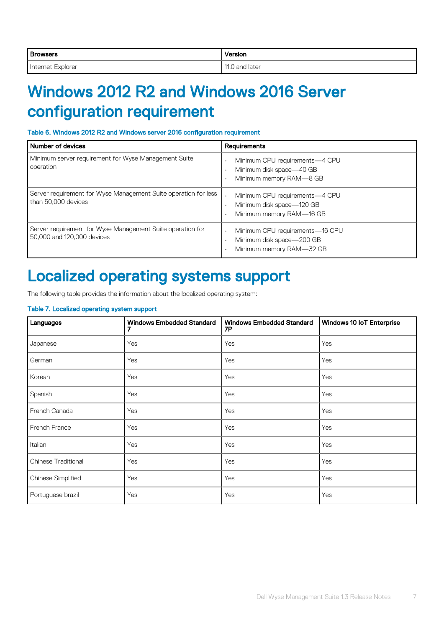<span id="page-6-0"></span>

| <b>Browsers</b>           | .<br>/ersion |
|---------------------------|--------------|
| ' Internet                | $\Lambda$    |
| -vnl∩r≏r                  | later        |
| וש וש                     | nno          |
| . . <b>.</b> . <b>.</b> . |              |

# Windows 2012 R2 and Windows 2016 Server configuration requirement

#### Table 6. Windows 2012 R2 and Windows server 2016 configuration requirement

| <b>Number of devices</b>                                                                 | <b>Requirements</b>                                                                                             |
|------------------------------------------------------------------------------------------|-----------------------------------------------------------------------------------------------------------------|
| Minimum server requirement for Wyse Management Suite<br>operation                        | Minimum CPU requirements-4 CPU<br>Minimum disk space-40 GB<br>Minimum memory RAM-8 GB                           |
| Server requirement for Wyse Management Suite operation for less<br>than 50,000 devices   | Minimum CPU requirements-4 CPU<br>$\ddot{\phantom{1}}$<br>Minimum disk space-120 GB<br>Minimum memory RAM-16 GB |
| Server requirement for Wyse Management Suite operation for<br>50,000 and 120,000 devices | Minimum CPU requirements-16 CPU<br>Minimum disk space-200 GB<br>Minimum memory RAM-32 GB                        |

## Localized operating systems support

The following table provides the information about the localized operating system:

#### Table 7. Localized operating system support

| Languages           | <b>Windows Embedded Standard</b> | <b>Windows Embedded Standard</b><br><b>7P</b> | Windows 10 IoT Enterprise |
|---------------------|----------------------------------|-----------------------------------------------|---------------------------|
| Japanese            | Yes                              | Yes                                           | Yes                       |
| German              | Yes                              | Yes                                           | Yes                       |
| Korean              | Yes                              | Yes                                           | Yes                       |
| Spanish             | Yes                              | Yes                                           | Yes                       |
| French Canada       | Yes                              | Yes                                           | Yes                       |
| French France       | Yes                              | Yes                                           | Yes                       |
| Italian             | Yes                              | Yes                                           | Yes                       |
| Chinese Traditional | Yes                              | Yes                                           | Yes                       |
| Chinese Simplified  | Yes                              | Yes                                           | Yes                       |
| Portuguese brazil   | Yes                              | Yes                                           | Yes                       |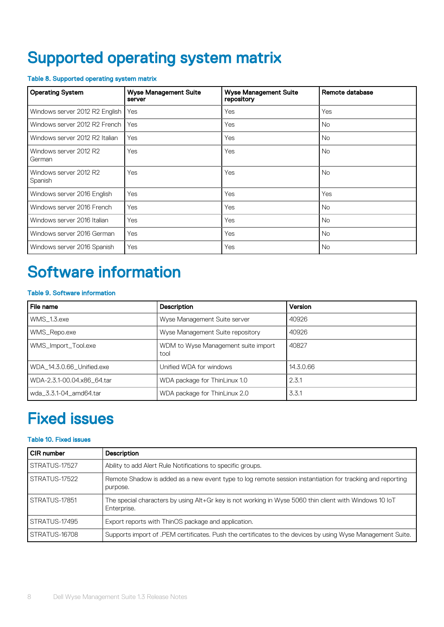# <span id="page-7-0"></span>Supported operating system matrix

### Table 8. Supported operating system matrix

| <b>Operating System</b>           | <b>Wyse Management Suite</b><br>server | <b>Wyse Management Suite</b><br>repository | Remote database |
|-----------------------------------|----------------------------------------|--------------------------------------------|-----------------|
| Windows server 2012 R2 English    | Yes                                    | Yes                                        | Yes             |
| Windows server 2012 R2 French     | Yes                                    | Yes                                        | <b>No</b>       |
| Windows server 2012 R2 Italian    | Yes                                    | Yes                                        | <b>No</b>       |
| Windows server 2012 R2<br>German  | Yes                                    | Yes                                        | <b>No</b>       |
| Windows server 2012 R2<br>Spanish | Yes                                    | Yes                                        | <b>No</b>       |
| Windows server 2016 English       | Yes                                    | Yes                                        | Yes             |
| Windows server 2016 French        | Yes                                    | Yes                                        | <b>No</b>       |
| Windows server 2016 Italian       | Yes                                    | Yes                                        | <b>No</b>       |
| Windows server 2016 German        | Yes                                    | Yes                                        | <b>No</b>       |
| Windows server 2016 Spanish       | Yes                                    | Yes                                        | No.             |

# Software information

#### Table 9. Software information

| File name                  | <b>Description</b>                          | Version   |
|----------------------------|---------------------------------------------|-----------|
| WMS 1.3.exe                | Wyse Management Suite server                | 40926     |
| WMS_Repo.exe               | Wyse Management Suite repository            | 40926     |
| WMS_Import_Tool.exe        | WDM to Wyse Management suite import<br>tool | 40827     |
| WDA_14.3.0.66_Unified.exe  | Unified WDA for windows                     | 14.3.0.66 |
| WDA-2.3.1-00.04.x86 64.tar | WDA package for ThinLinux 1.0               | 2.3.1     |
| wda_3.3.1-04_amd64.tar     | WDA package for ThinLinux 2.0               | 3.3.1     |

## Fixed issues

### Table 10. Fixed issues

| <b>CIR</b> number | <b>Description</b>                                                                                                    |  |
|-------------------|-----------------------------------------------------------------------------------------------------------------------|--|
| STRATUS-17527     | Ability to add Alert Rule Notifications to specific groups.                                                           |  |
| STRATUS-17522     | Remote Shadow is added as a new event type to log remote session instantiation for tracking and reporting<br>purpose. |  |
| STRATUS-17851     | The special characters by using Alt+Gr key is not working in Wyse 5060 thin client with Windows 10 loT<br>Enterprise. |  |
| STRATUS-17495     | Export reports with ThinOS package and application.                                                                   |  |
| STRATUS-16708     | Supports import of .PEM certificates. Push the certificates to the devices by using Wyse Management Suite.            |  |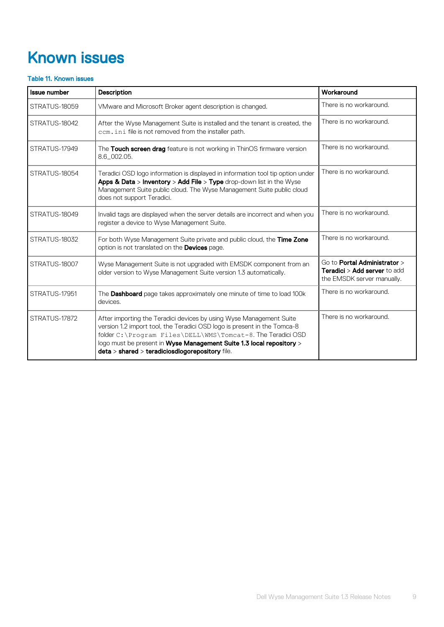# <span id="page-8-0"></span>Known issues

### Table 11. Known issues

| <b>Issue number</b> | <b>Description</b>                                                                                                                                                                                                                                                                                                                         | Workaround                                                                                                  |
|---------------------|--------------------------------------------------------------------------------------------------------------------------------------------------------------------------------------------------------------------------------------------------------------------------------------------------------------------------------------------|-------------------------------------------------------------------------------------------------------------|
| STRATUS-18059       | VMware and Microsoft Broker agent description is changed.                                                                                                                                                                                                                                                                                  | There is no workaround.                                                                                     |
| STRATUS-18042       | After the Wyse Management Suite is installed and the tenant is created, the<br>ccm. ini file is not removed from the installer path.                                                                                                                                                                                                       | There is no workaround.                                                                                     |
| STRATUS-17949       | The Touch screen drag feature is not working in ThinOS firmware version<br>8.6_002.05.                                                                                                                                                                                                                                                     | There is no workaround.                                                                                     |
| STRATUS-18054       | Teradici OSD logo information is displayed in information tool tip option under<br>Apps & Data > Inventory > Add File > Type drop-down list in the Wyse<br>Management Suite public cloud. The Wyse Management Suite public cloud<br>does not support Teradici.                                                                             | There is no workaround.                                                                                     |
| STRATUS-18049       | Invalid tags are displayed when the server details are incorrect and when you<br>register a device to Wyse Management Suite.                                                                                                                                                                                                               | There is no workaround.                                                                                     |
| STRATUS-18032       | For both Wyse Management Suite private and public cloud, the Time Zone<br>option is not translated on the Devices page.                                                                                                                                                                                                                    | There is no workaround.                                                                                     |
| STRATUS-18007       | Wyse Management Suite is not upgraded with EMSDK component from an<br>older version to Wyse Management Suite version 1.3 automatically.                                                                                                                                                                                                    | Go to <b>Portal Administrator</b> ><br><b>Teradici &gt; Add server</b> to add<br>the EMSDK server manually. |
| STRATUS-17951       | The <b>Dashboard</b> page takes approximately one minute of time to load 100k<br>devices.                                                                                                                                                                                                                                                  | There is no workaround.                                                                                     |
| STRATUS-17872       | After importing the Teradici devices by using Wyse Management Suite<br>version 1.2 import tool, the Teradici OSD logo is present in the Tomca-8<br>folder C: \Program Files\DELL\WMS\Tomcat-8. The Teradici OSD<br>logo must be present in Wyse Management Suite 1.3 local repository ><br>deta > shared > teradiciosdlogorepository file. | There is no workaround.                                                                                     |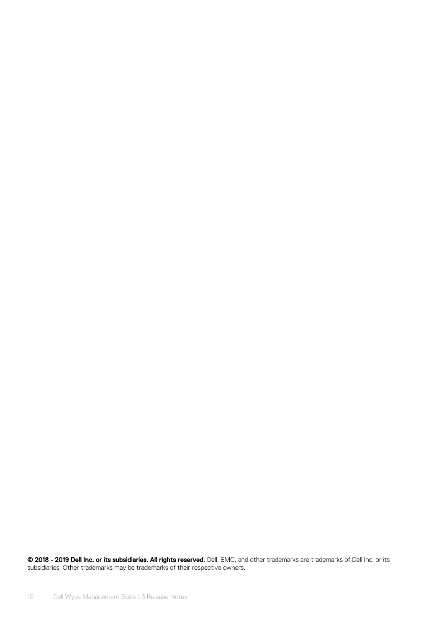© 2018 - 2019 Dell Inc. or its subsidiaries. All rights reserved. Dell, EMC, and other trademarks are trademarks of Dell Inc. or its subsidiaries. Other trademarks may be trademarks of their respective owners.